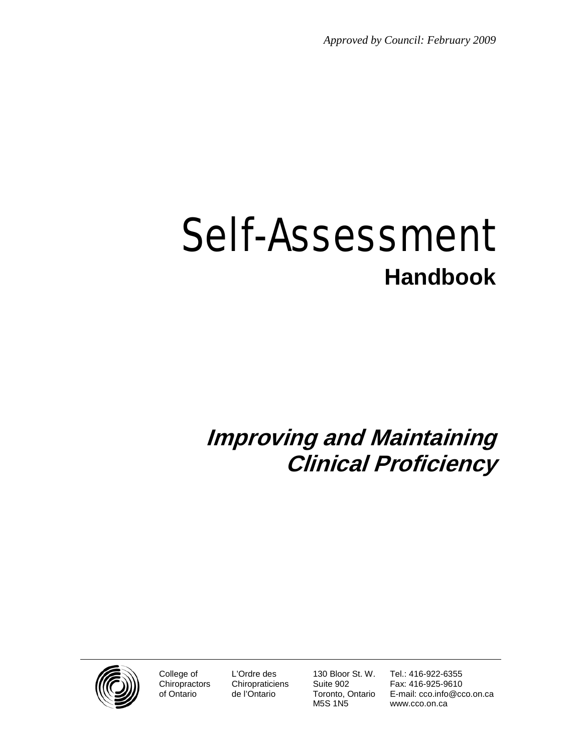*Approved by Council: February 2009*

# Self-Assessment **Handbook**

# **Improving and Maintaining Clinical Proficiency**



College of **Chiropractors** of Ontario

L'Ordre des **Chiropraticiens** de l'Ontario

130 Bloor St. W. Suite 902 Toronto, Ontario M5S 1N5

Tel.: 416-922-6355 Fax: 416-925-9610 E-mail: cco.info@cco.on.ca www.cco.on.ca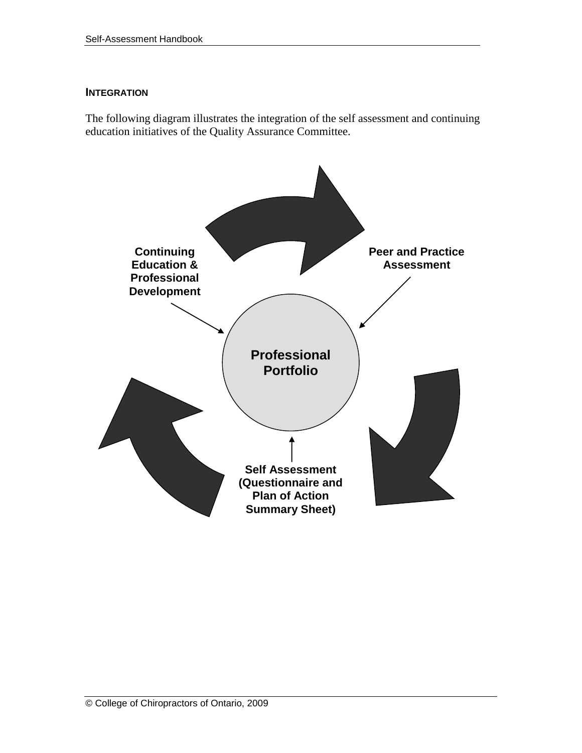#### **INTEGRATION**

The following diagram illustrates the integration of the self assessment and continuing education initiatives of the Quality Assurance Committee.

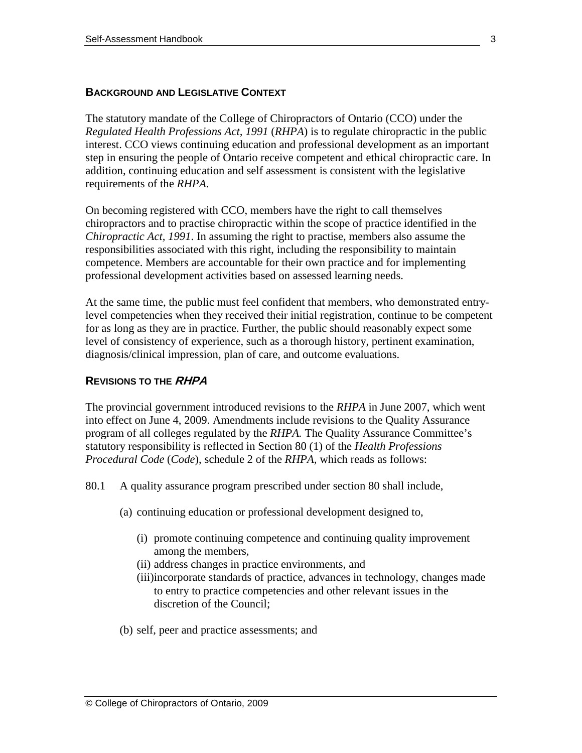#### **BACKGROUND AND LEGISLATIVE CONTEXT**

The statutory mandate of the College of Chiropractors of Ontario (CCO) under the *Regulated Health Professions Act, 1991* (*RHPA*) is to regulate chiropractic in the public interest. CCO views continuing education and professional development as an important step in ensuring the people of Ontario receive competent and ethical chiropractic care. In addition, continuing education and self assessment is consistent with the legislative requirements of the *RHPA*.

On becoming registered with CCO, members have the right to call themselves chiropractors and to practise chiropractic within the scope of practice identified in the *Chiropractic Act, 1991*. In assuming the right to practise, members also assume the responsibilities associated with this right, including the responsibility to maintain competence. Members are accountable for their own practice and for implementing professional development activities based on assessed learning needs.

At the same time, the public must feel confident that members, who demonstrated entrylevel competencies when they received their initial registration, continue to be competent for as long as they are in practice. Further, the public should reasonably expect some level of consistency of experience, such as a thorough history, pertinent examination, diagnosis/clinical impression, plan of care, and outcome evaluations.

#### **REVISIONS TO THE RHPA**

The provincial government introduced revisions to the *RHPA* in June 2007, which went into effect on June 4, 2009. Amendments include revisions to the Quality Assurance program of all colleges regulated by the *RHPA.* The Quality Assurance Committee's statutory responsibility is reflected in Section 80 (1) of the *Health Professions Procedural Code* (*Code*), schedule 2 of the *RHPA,* which reads as follows:

- 80.1 A quality assurance program prescribed under section 80 shall include,
	- (a) continuing education or professional development designed to,
		- (i) promote continuing competence and continuing quality improvement among the members,
		- (ii) address changes in practice environments, and
		- (iii)incorporate standards of practice, advances in technology, changes made to entry to practice competencies and other relevant issues in the discretion of the Council;
	- (b) self, peer and practice assessments; and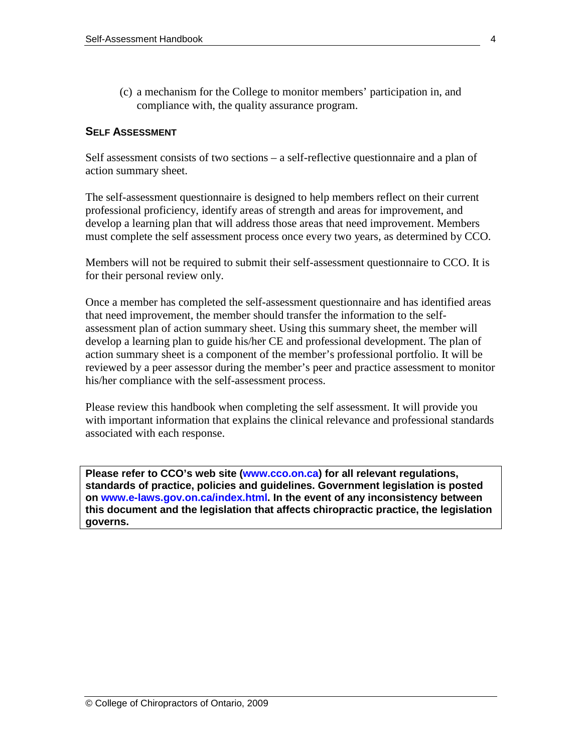(c) a mechanism for the College to monitor members' participation in, and compliance with, the quality assurance program.

#### **SELF ASSESSMENT**

Self assessment consists of two sections – a self-reflective questionnaire and a plan of action summary sheet.

The self-assessment questionnaire is designed to help members reflect on their current professional proficiency, identify areas of strength and areas for improvement, and develop a learning plan that will address those areas that need improvement. Members must complete the self assessment process once every two years, as determined by CCO.

Members will not be required to submit their self-assessment questionnaire to CCO. It is for their personal review only.

Once a member has completed the self-assessment questionnaire and has identified areas that need improvement, the member should transfer the information to the selfassessment plan of action summary sheet. Using this summary sheet, the member will develop a learning plan to guide his/her CE and professional development. The plan of action summary sheet is a component of the member's professional portfolio. It will be reviewed by a peer assessor during the member's peer and practice assessment to monitor his/her compliance with the self-assessment process.

Please review this handbook when completing the self assessment. It will provide you with important information that explains the clinical relevance and professional standards associated with each response.

**Please refer to CCO's web site [\(www.cco.on.ca\)](http://www.cco.on.ca/) for all relevant regulations, standards of practice, policies and guidelines. Government legislation is posted on [www.e-laws.gov.on.ca/index.html.](http://www.e-laws.gov.on.ca/index.html) In the event of any inconsistency between this document and the legislation that affects chiropractic practice, the legislation governs.**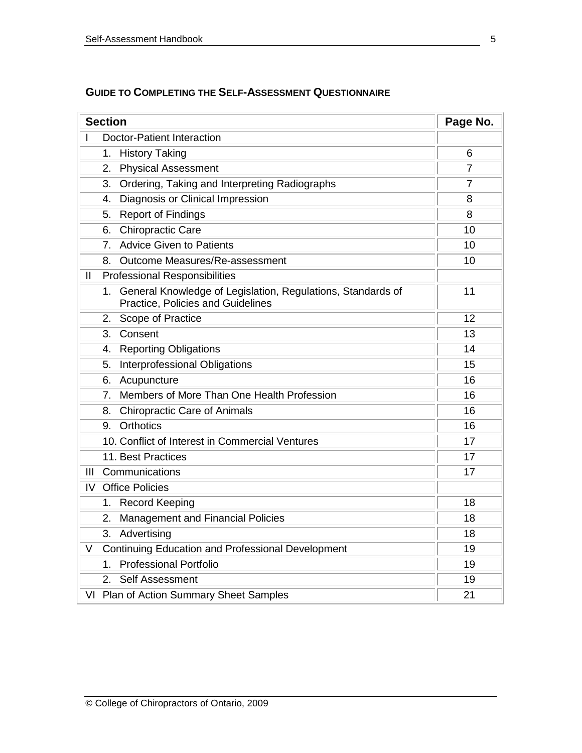| <b>Section</b>                                                                                         | Page No. |
|--------------------------------------------------------------------------------------------------------|----------|
| <b>Doctor-Patient Interaction</b>                                                                      |          |
| <b>History Taking</b><br>1.                                                                            | 6        |
| <b>Physical Assessment</b><br>2.                                                                       | 7        |
| Ordering, Taking and Interpreting Radiographs<br>3.                                                    | 7        |
| Diagnosis or Clinical Impression<br>4.                                                                 | 8        |
| <b>Report of Findings</b><br>5.                                                                        | 8        |
| <b>Chiropractic Care</b><br>6.                                                                         | 10       |
| <b>Advice Given to Patients</b><br>7.                                                                  | 10       |
| Outcome Measures/Re-assessment<br>8.                                                                   | 10       |
| $\mathbf{I}$<br><b>Professional Responsibilities</b>                                                   |          |
| General Knowledge of Legislation, Regulations, Standards of<br>1.<br>Practice, Policies and Guidelines | 11       |
| Scope of Practice<br>2.                                                                                | 12       |
| Consent<br>3.                                                                                          | 13       |
| <b>Reporting Obligations</b><br>4.                                                                     | 14       |
| Interprofessional Obligations<br>5.                                                                    | 15       |
| Acupuncture<br>6.                                                                                      | 16       |
| Members of More Than One Health Profession<br>7.                                                       | 16       |
| <b>Chiropractic Care of Animals</b><br>8.                                                              | 16       |
| <b>Orthotics</b><br>9.                                                                                 | 16       |
| 10. Conflict of Interest in Commercial Ventures                                                        | 17       |
| 11. Best Practices                                                                                     | 17       |
| III<br>Communications                                                                                  | 17       |
| IV<br><b>Office Policies</b>                                                                           |          |
| 1. Record Keeping                                                                                      | 18       |
| Management and Financial Policies<br>2.                                                                | 18       |
| Advertising<br>3.                                                                                      | 18       |
| V<br><b>Continuing Education and Professional Development</b>                                          | 19       |
| 1. Professional Portfolio                                                                              | 19       |
| <b>Self Assessment</b><br>2.                                                                           | 19       |
| VI Plan of Action Summary Sheet Samples                                                                | 21       |

# **GUIDE TO COMPLETING THE SELF-ASSESSMENT QUESTIONNAIRE**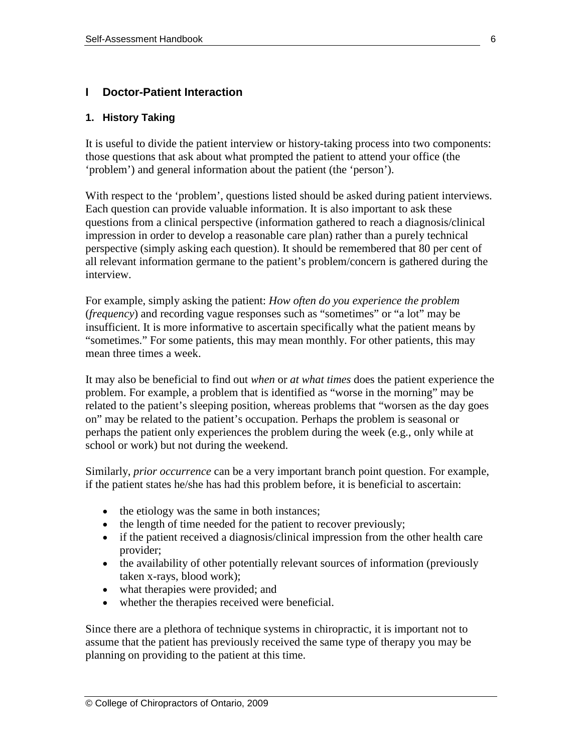# **I Doctor-Patient Interaction**

#### **1. History Taking**

It is useful to divide the patient interview or history-taking process into two components: those questions that ask about what prompted the patient to attend your office (the 'problem') and general information about the patient (the 'person').

With respect to the 'problem', questions listed should be asked during patient interviews. Each question can provide valuable information. It is also important to ask these questions from a clinical perspective (information gathered to reach a diagnosis/clinical impression in order to develop a reasonable care plan) rather than a purely technical perspective (simply asking each question). It should be remembered that 80 per cent of all relevant information germane to the patient's problem/concern is gathered during the interview.

For example, simply asking the patient: *How often do you experience the problem* (*frequency*) and recording vague responses such as "sometimes" or "a lot" may be insufficient. It is more informative to ascertain specifically what the patient means by "sometimes." For some patients, this may mean monthly. For other patients, this may mean three times a week.

It may also be beneficial to find out *when* or *at what times* does the patient experience the problem. For example, a problem that is identified as "worse in the morning" may be related to the patient's sleeping position, whereas problems that "worsen as the day goes on" may be related to the patient's occupation. Perhaps the problem is seasonal or perhaps the patient only experiences the problem during the week (e.g., only while at school or work) but not during the weekend.

Similarly, *prior occurrence* can be a very important branch point question. For example, if the patient states he/she has had this problem before, it is beneficial to ascertain:

- the etiology was the same in both instances;
- the length of time needed for the patient to recover previously;
- if the patient received a diagnosis/clinical impression from the other health care provider;
- the availability of other potentially relevant sources of information (previously taken x-rays, blood work);
- what therapies were provided; and
- whether the therapies received were beneficial.

Since there are a plethora of technique systems in chiropractic, it is important not to assume that the patient has previously received the same type of therapy you may be planning on providing to the patient at this time.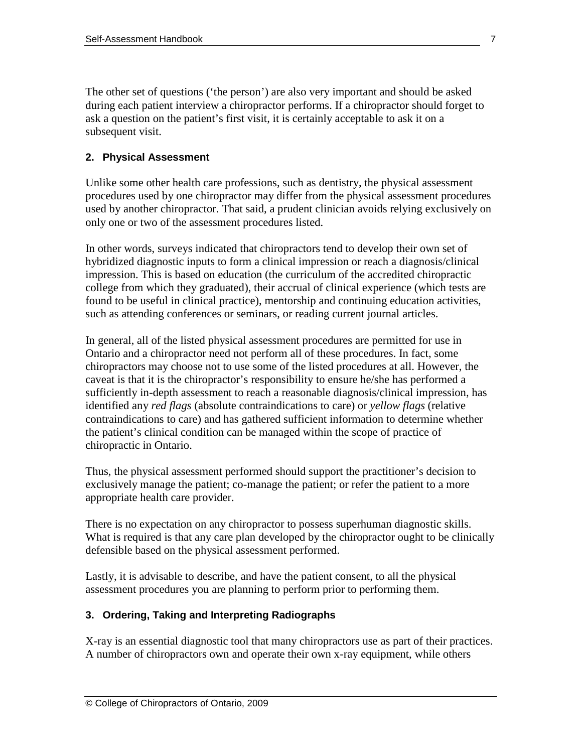The other set of questions ('the person') are also very important and should be asked during each patient interview a chiropractor performs. If a chiropractor should forget to ask a question on the patient's first visit, it is certainly acceptable to ask it on a subsequent visit.

# **2. Physical Assessment**

Unlike some other health care professions, such as dentistry, the physical assessment procedures used by one chiropractor may differ from the physical assessment procedures used by another chiropractor. That said, a prudent clinician avoids relying exclusively on only one or two of the assessment procedures listed.

In other words, surveys indicated that chiropractors tend to develop their own set of hybridized diagnostic inputs to form a clinical impression or reach a diagnosis/clinical impression. This is based on education (the curriculum of the accredited chiropractic college from which they graduated), their accrual of clinical experience (which tests are found to be useful in clinical practice), mentorship and continuing education activities, such as attending conferences or seminars, or reading current journal articles.

In general, all of the listed physical assessment procedures are permitted for use in Ontario and a chiropractor need not perform all of these procedures. In fact, some chiropractors may choose not to use some of the listed procedures at all. However, the caveat is that it is the chiropractor's responsibility to ensure he/she has performed a sufficiently in-depth assessment to reach a reasonable diagnosis/clinical impression, has identified any *red flags* (absolute contraindications to care) or *yellow flags* (relative contraindications to care) and has gathered sufficient information to determine whether the patient's clinical condition can be managed within the scope of practice of chiropractic in Ontario.

Thus, the physical assessment performed should support the practitioner's decision to exclusively manage the patient; co-manage the patient; or refer the patient to a more appropriate health care provider.

There is no expectation on any chiropractor to possess superhuman diagnostic skills. What is required is that any care plan developed by the chiropractor ought to be clinically defensible based on the physical assessment performed.

Lastly, it is advisable to describe, and have the patient consent, to all the physical assessment procedures you are planning to perform prior to performing them.

# **3. Ordering, Taking and Interpreting Radiographs**

X-ray is an essential diagnostic tool that many chiropractors use as part of their practices. A number of chiropractors own and operate their own x-ray equipment, while others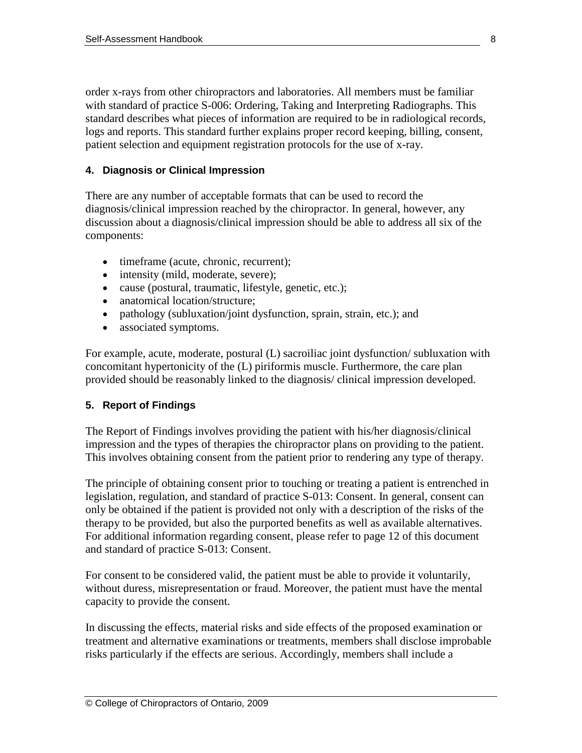order x-rays from other chiropractors and laboratories. All members must be familiar with standard of practice S-006: Ordering, Taking and Interpreting Radiographs. This standard describes what pieces of information are required to be in radiological records, logs and reports. This standard further explains proper record keeping, billing, consent, patient selection and equipment registration protocols for the use of x-ray.

#### **4. Diagnosis or Clinical Impression**

There are any number of acceptable formats that can be used to record the diagnosis/clinical impression reached by the chiropractor. In general, however, any discussion about a diagnosis/clinical impression should be able to address all six of the components:

- timeframe (acute, chronic, recurrent);
- intensity (mild, moderate, severe);
- cause (postural, traumatic, lifestyle, genetic, etc.);
- anatomical location/structure:
- pathology (subluxation/joint dysfunction, sprain, strain, etc.); and
- associated symptoms.

For example, acute, moderate, postural (L) sacroiliac joint dysfunction/ subluxation with concomitant hypertonicity of the (L) piriformis muscle. Furthermore, the care plan provided should be reasonably linked to the diagnosis/ clinical impression developed.

#### **5. Report of Findings**

The Report of Findings involves providing the patient with his/her diagnosis/clinical impression and the types of therapies the chiropractor plans on providing to the patient. This involves obtaining consent from the patient prior to rendering any type of therapy.

The principle of obtaining consent prior to touching or treating a patient is entrenched in legislation, regulation, and standard of practice S-013: Consent. In general, consent can only be obtained if the patient is provided not only with a description of the risks of the therapy to be provided, but also the purported benefits as well as available alternatives. For additional information regarding consent, please refer to page 12 of this document and standard of practice S-013: Consent.

For consent to be considered valid, the patient must be able to provide it voluntarily, without duress, misrepresentation or fraud. Moreover, the patient must have the mental capacity to provide the consent.

In discussing the effects, material risks and side effects of the proposed examination or treatment and alternative examinations or treatments, members shall disclose improbable risks particularly if the effects are serious. Accordingly, members shall include a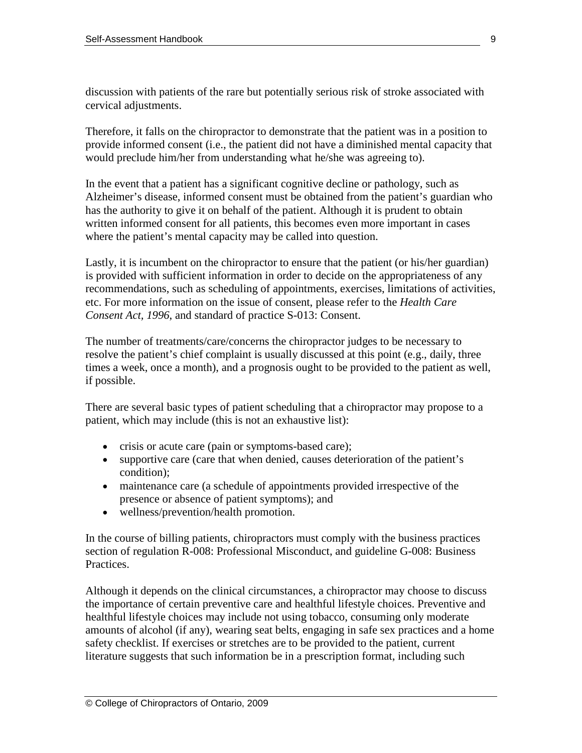discussion with patients of the rare but potentially serious risk of stroke associated with cervical adjustments.

Therefore, it falls on the chiropractor to demonstrate that the patient was in a position to provide informed consent (i.e., the patient did not have a diminished mental capacity that would preclude him/her from understanding what he/she was agreeing to).

In the event that a patient has a significant cognitive decline or pathology, such as Alzheimer's disease, informed consent must be obtained from the patient's guardian who has the authority to give it on behalf of the patient. Although it is prudent to obtain written informed consent for all patients, this becomes even more important in cases where the patient's mental capacity may be called into question.

Lastly, it is incumbent on the chiropractor to ensure that the patient (or his/her guardian) is provided with sufficient information in order to decide on the appropriateness of any recommendations, such as scheduling of appointments, exercises, limitations of activities, etc. For more information on the issue of consent, please refer to the *Health Care Consent Act, 1996*, and standard of practice S-013: Consent.

The number of treatments/care/concerns the chiropractor judges to be necessary to resolve the patient's chief complaint is usually discussed at this point (e.g., daily, three times a week, once a month), and a prognosis ought to be provided to the patient as well, if possible.

There are several basic types of patient scheduling that a chiropractor may propose to a patient, which may include (this is not an exhaustive list):

- crisis or acute care (pain or symptoms-based care);
- supportive care (care that when denied, causes deterioration of the patient's condition);
- maintenance care (a schedule of appointments provided irrespective of the presence or absence of patient symptoms); and
- wellness/prevention/health promotion.

In the course of billing patients, chiropractors must comply with the business practices section of regulation R-008: Professional Misconduct, and guideline G-008: Business Practices.

Although it depends on the clinical circumstances, a chiropractor may choose to discuss the importance of certain preventive care and healthful lifestyle choices. Preventive and healthful lifestyle choices may include not using tobacco, consuming only moderate amounts of alcohol (if any), wearing seat belts, engaging in safe sex practices and a home safety checklist. If exercises or stretches are to be provided to the patient, current literature suggests that such information be in a prescription format, including such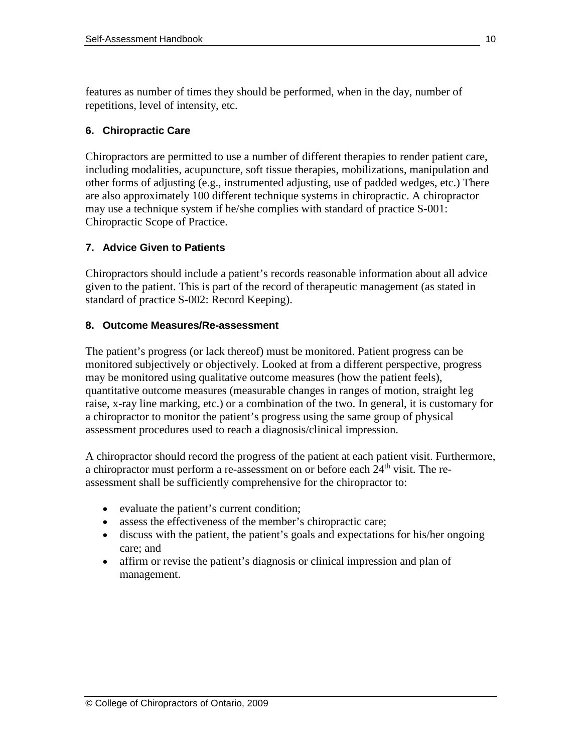features as number of times they should be performed, when in the day, number of repetitions, level of intensity, etc.

#### **6. Chiropractic Care**

Chiropractors are permitted to use a number of different therapies to render patient care, including modalities, acupuncture, soft tissue therapies, mobilizations, manipulation and other forms of adjusting (e.g., instrumented adjusting, use of padded wedges, etc.) There are also approximately 100 different technique systems in chiropractic. A chiropractor may use a technique system if he/she complies with standard of practice S-001: Chiropractic Scope of Practice.

#### **7. Advice Given to Patients**

Chiropractors should include a patient's records reasonable information about all advice given to the patient. This is part of the record of therapeutic management (as stated in standard of practice S-002: Record Keeping).

#### **8. Outcome Measures/Re-assessment**

The patient's progress (or lack thereof) must be monitored. Patient progress can be monitored subjectively or objectively. Looked at from a different perspective, progress may be monitored using qualitative outcome measures (how the patient feels), quantitative outcome measures (measurable changes in ranges of motion, straight leg raise, x-ray line marking, etc.) or a combination of the two. In general, it is customary for a chiropractor to monitor the patient's progress using the same group of physical assessment procedures used to reach a diagnosis/clinical impression.

A chiropractor should record the progress of the patient at each patient visit. Furthermore, a chiropractor must perform a re-assessment on or before each  $24<sup>th</sup>$  visit. The reassessment shall be sufficiently comprehensive for the chiropractor to:

- evaluate the patient's current condition;
- assess the effectiveness of the member's chiropractic care;
- discuss with the patient, the patient's goals and expectations for his/her ongoing care; and
- affirm or revise the patient's diagnosis or clinical impression and plan of management.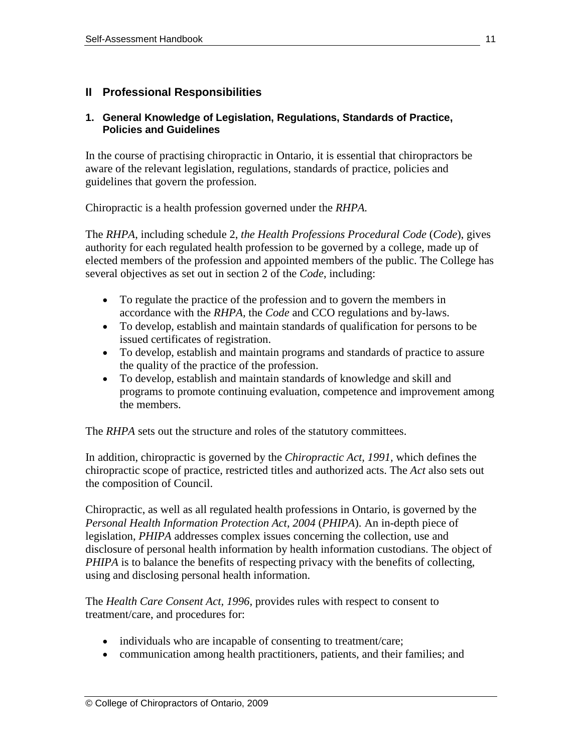#### **II Professional Responsibilities**

#### **1. General Knowledge of Legislation, Regulations, Standards of Practice, Policies and Guidelines**

In the course of practising chiropractic in Ontario, it is essential that chiropractors be aware of the relevant legislation, regulations, standards of practice, policies and guidelines that govern the profession.

Chiropractic is a health profession governed under the *RHPA.* 

The *RHPA*, including schedule 2, *the Health Professions Procedural Code* (*Code*), gives authority for each regulated health profession to be governed by a college, made up of elected members of the profession and appointed members of the public. The College has several objectives as set out in section 2 of the *Code*, including:

- To regulate the practice of the profession and to govern the members in accordance with the *RHPA,* the *Code* and CCO regulations and by-laws.
- To develop, establish and maintain standards of qualification for persons to be issued certificates of registration.
- To develop, establish and maintain programs and standards of practice to assure the quality of the practice of the profession.
- To develop, establish and maintain standards of knowledge and skill and programs to promote continuing evaluation, competence and improvement among the members.

The *RHPA* sets out the structure and roles of the statutory committees.

In addition, chiropractic is governed by the *Chiropractic Act, 1991,* which defines the chiropractic scope of practice, restricted titles and authorized acts. The *Act* also sets out the composition of Council.

Chiropractic, as well as all regulated health professions in Ontario, is governed by the *Personal Health Information Protection Act*, *2004* (*PHIPA*). An in-depth piece of legislation, *PHIPA* addresses complex issues concerning the collection, use and disclosure of personal health information by health information custodians. The object of *PHIPA* is to balance the benefits of respecting privacy with the benefits of collecting, using and disclosing personal health information.

The *Health Care Consent Act, 1996,* provides rules with respect to consent to treatment/care, and procedures for:

- individuals who are incapable of consenting to treatment/care;
- communication among health practitioners, patients, and their families; and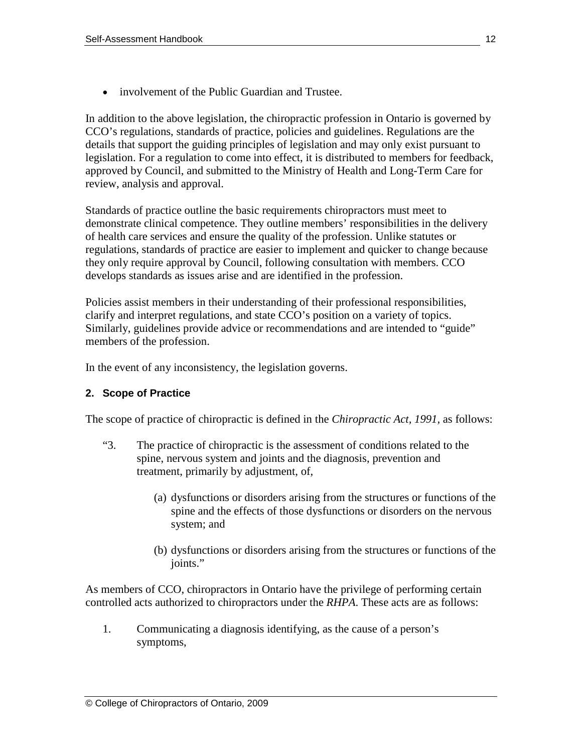• involvement of the Public Guardian and Trustee.

In addition to the above legislation, the chiropractic profession in Ontario is governed by CCO's regulations, standards of practice, policies and guidelines. Regulations are the details that support the guiding principles of legislation and may only exist pursuant to legislation. For a regulation to come into effect, it is distributed to members for feedback, approved by Council, and submitted to the Ministry of Health and Long-Term Care for review, analysis and approval.

Standards of practice outline the basic requirements chiropractors must meet to demonstrate clinical competence. They outline members' responsibilities in the delivery of health care services and ensure the quality of the profession. Unlike statutes or regulations, standards of practice are easier to implement and quicker to change because they only require approval by Council, following consultation with members. CCO develops standards as issues arise and are identified in the profession.

Policies assist members in their understanding of their professional responsibilities, clarify and interpret regulations, and state CCO's position on a variety of topics. Similarly, guidelines provide advice or recommendations and are intended to "guide" members of the profession.

In the event of any inconsistency, the legislation governs.

#### **2. Scope of Practice**

The scope of practice of chiropractic is defined in the *Chiropractic Act, 1991,* as follows:

- "3. The practice of chiropractic is the assessment of conditions related to the spine, nervous system and joints and the diagnosis, prevention and treatment, primarily by adjustment, of,
	- (a) dysfunctions or disorders arising from the structures or functions of the spine and the effects of those dysfunctions or disorders on the nervous system; and
	- (b) dysfunctions or disorders arising from the structures or functions of the joints."

As members of CCO, chiropractors in Ontario have the privilege of performing certain controlled acts authorized to chiropractors under the *RHPA*. These acts are as follows:

1. Communicating a diagnosis identifying, as the cause of a person's symptoms,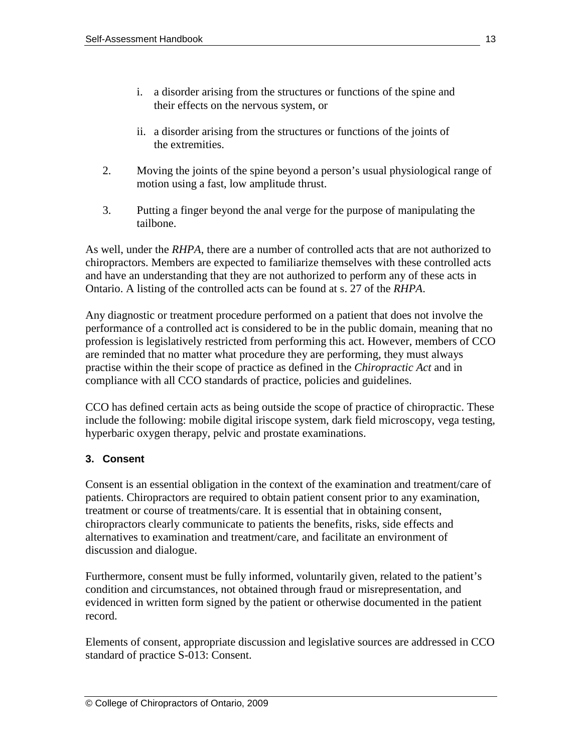- i. a disorder arising from the structures or functions of the spine and their effects on the nervous system, or
- ii. a disorder arising from the structures or functions of the joints of the extremities.
- 2. Moving the joints of the spine beyond a person's usual physiological range of motion using a fast, low amplitude thrust.
- 3. Putting a finger beyond the anal verge for the purpose of manipulating the tailbone.

As well, under the *RHPA*, there are a number of controlled acts that are not authorized to chiropractors. Members are expected to familiarize themselves with these controlled acts and have an understanding that they are not authorized to perform any of these acts in Ontario. A listing of the controlled acts can be found at s. 27 of the *RHPA*.

Any diagnostic or treatment procedure performed on a patient that does not involve the performance of a controlled act is considered to be in the public domain, meaning that no profession is legislatively restricted from performing this act. However, members of CCO are reminded that no matter what procedure they are performing, they must always practise within the their scope of practice as defined in the *Chiropractic Act* and in compliance with all CCO standards of practice, policies and guidelines.

CCO has defined certain acts as being outside the scope of practice of chiropractic. These include the following: mobile digital iriscope system, dark field microscopy, vega testing, hyperbaric oxygen therapy, pelvic and prostate examinations.

# **3. Consent**

Consent is an essential obligation in the context of the examination and treatment/care of patients. Chiropractors are required to obtain patient consent prior to any examination, treatment or course of treatments/care. It is essential that in obtaining consent, chiropractors clearly communicate to patients the benefits, risks, side effects and alternatives to examination and treatment/care, and facilitate an environment of discussion and dialogue.

Furthermore, consent must be fully informed, voluntarily given, related to the patient's condition and circumstances, not obtained through fraud or misrepresentation, and evidenced in written form signed by the patient or otherwise documented in the patient record.

Elements of consent, appropriate discussion and legislative sources are addressed in CCO standard of practice S-013: Consent.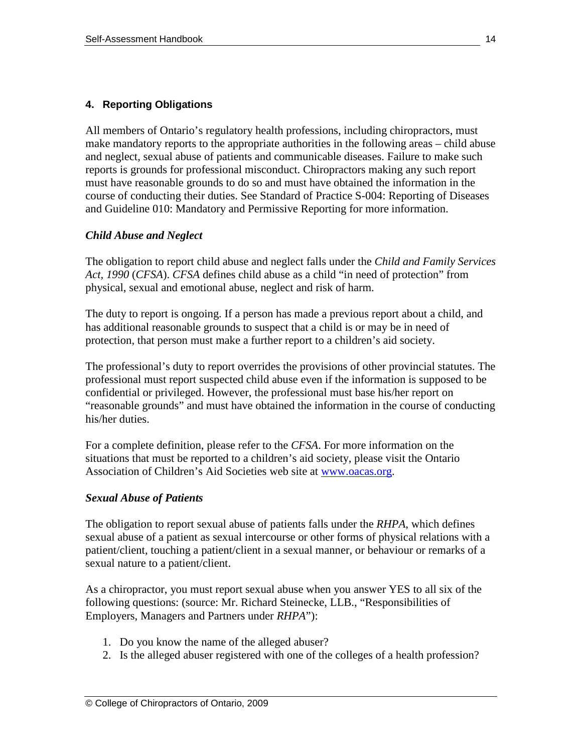#### **4. Reporting Obligations**

All members of Ontario's regulatory health professions, including chiropractors, must make mandatory reports to the appropriate authorities in the following areas – child abuse and neglect, sexual abuse of patients and communicable diseases. Failure to make such reports is grounds for professional misconduct. Chiropractors making any such report must have reasonable grounds to do so and must have obtained the information in the course of conducting their duties. See Standard of Practice S-004: Reporting of Diseases and Guideline 010: Mandatory and Permissive Reporting for more information.

#### *Child Abuse and Neglect*

The obligation to report child abuse and neglect falls under the *Child and Family Services Act, 1990* (*CFSA*). *CFSA* defines child abuse as a child "in need of protection" from physical, sexual and emotional abuse, neglect and risk of harm.

The duty to report is ongoing. If a person has made a previous report about a child, and has additional reasonable grounds to suspect that a child is or may be in need of protection, that person must make a further report to a children's aid society.

The professional's duty to report overrides the provisions of other provincial statutes. The professional must report suspected child abuse even if the information is supposed to be confidential or privileged. However, the professional must base his/her report on "reasonable grounds" and must have obtained the information in the course of conducting his/her duties.

For a complete definition, please refer to the *CFSA*. For more information on the situations that must be reported to a children's aid society, please visit the Ontario Association of Children's Aid Societies web site at [www.oacas.org.](http://www.oacas.org/)

#### *Sexual Abuse of Patients*

The obligation to report sexual abuse of patients falls under the *RHPA*, which defines sexual abuse of a patient as sexual intercourse or other forms of physical relations with a patient/client, touching a patient/client in a sexual manner, or behaviour or remarks of a sexual nature to a patient/client.

As a chiropractor, you must report sexual abuse when you answer YES to all six of the following questions: (source: Mr. Richard Steinecke, LLB., "Responsibilities of Employers, Managers and Partners under *RHPA*"):

- 1. Do you know the name of the alleged abuser?
- 2. Is the alleged abuser registered with one of the colleges of a health profession?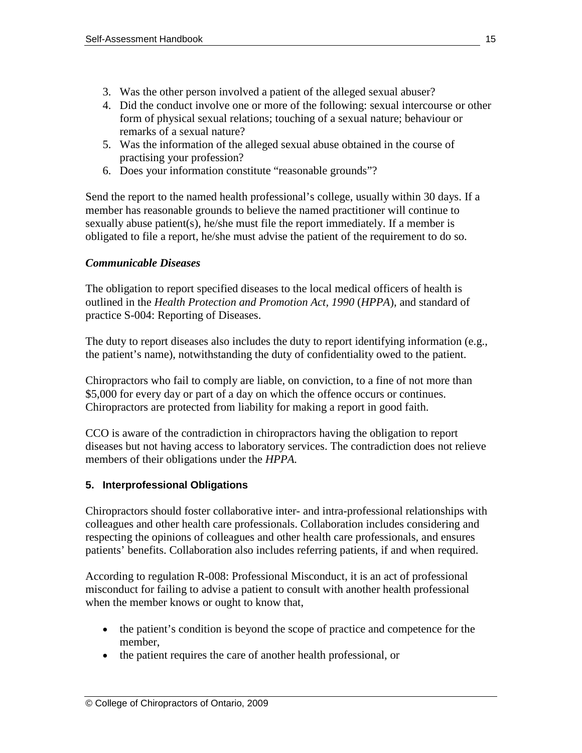- 3. Was the other person involved a patient of the alleged sexual abuser?
- 4. Did the conduct involve one or more of the following: sexual intercourse or other form of physical sexual relations; touching of a sexual nature; behaviour or remarks of a sexual nature?
- 5. Was the information of the alleged sexual abuse obtained in the course of practising your profession?
- 6. Does your information constitute "reasonable grounds"?

Send the report to the named health professional's college, usually within 30 days. If a member has reasonable grounds to believe the named practitioner will continue to sexually abuse patient(s), he/she must file the report immediately. If a member is obligated to file a report, he/she must advise the patient of the requirement to do so.

# *Communicable Diseases*

The obligation to report specified diseases to the local medical officers of health is outlined in the *Health Protection and Promotion Act, 1990* (*HPPA*), and standard of practice S-004: Reporting of Diseases.

The duty to report diseases also includes the duty to report identifying information (e.g., the patient's name), notwithstanding the duty of confidentiality owed to the patient.

Chiropractors who fail to comply are liable, on conviction, to a fine of not more than \$5,000 for every day or part of a day on which the offence occurs or continues. Chiropractors are protected from liability for making a report in good faith.

CCO is aware of the contradiction in chiropractors having the obligation to report diseases but not having access to laboratory services. The contradiction does not relieve members of their obligations under the *HPPA.* 

# **5. Interprofessional Obligations**

Chiropractors should foster collaborative inter- and intra-professional relationships with colleagues and other health care professionals. Collaboration includes considering and respecting the opinions of colleagues and other health care professionals, and ensures patients' benefits. Collaboration also includes referring patients, if and when required.

According to regulation R-008: Professional Misconduct, it is an act of professional misconduct for failing to advise a patient to consult with another health professional when the member knows or ought to know that,

- the patient's condition is beyond the scope of practice and competence for the member,
- the patient requires the care of another health professional, or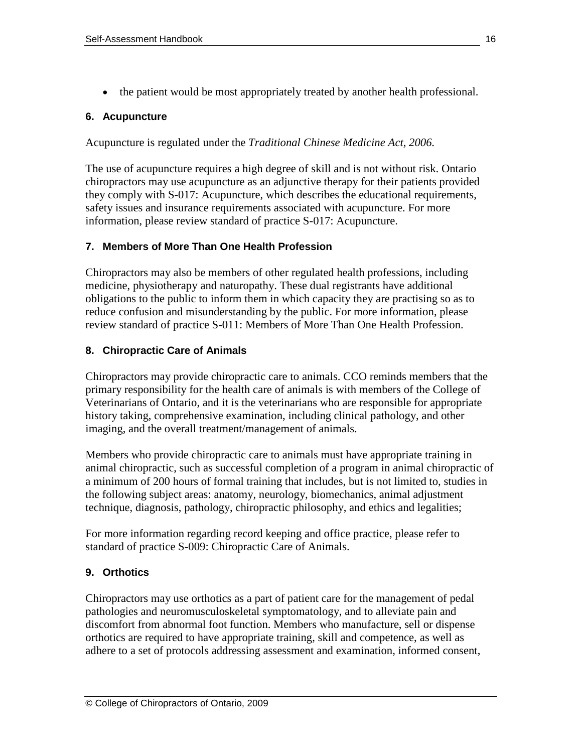• the patient would be most appropriately treated by another health professional.

# **6. Acupuncture**

Acupuncture is regulated under the *Traditional Chinese Medicine Act, 2006.* 

The use of acupuncture requires a high degree of skill and is not without risk. Ontario chiropractors may use acupuncture as an adjunctive therapy for their patients provided they comply with S-017: Acupuncture, which describes the educational requirements, safety issues and insurance requirements associated with acupuncture. For more information, please review standard of practice S-017: Acupuncture.

# **7. Members of More Than One Health Profession**

Chiropractors may also be members of other regulated health professions, including medicine, physiotherapy and naturopathy. These dual registrants have additional obligations to the public to inform them in which capacity they are practising so as to reduce confusion and misunderstanding by the public. For more information, please review standard of practice S-011: Members of More Than One Health Profession.

# **8. Chiropractic Care of Animals**

Chiropractors may provide chiropractic care to animals. CCO reminds members that the primary responsibility for the health care of animals is with members of the College of Veterinarians of Ontario, and it is the veterinarians who are responsible for appropriate history taking, comprehensive examination, including clinical pathology, and other imaging, and the overall treatment/management of animals.

Members who provide chiropractic care to animals must have appropriate training in animal chiropractic, such as successful completion of a program in animal chiropractic of a minimum of 200 hours of formal training that includes, but is not limited to, studies in the following subject areas: anatomy, neurology, biomechanics, animal adjustment technique, diagnosis, pathology, chiropractic philosophy, and ethics and legalities;

For more information regarding record keeping and office practice, please refer to standard of practice S-009: Chiropractic Care of Animals.

# **9. Orthotics**

Chiropractors may use orthotics as a part of patient care for the management of pedal pathologies and neuromusculoskeletal symptomatology, and to alleviate pain and discomfort from abnormal foot function. Members who manufacture, sell or dispense orthotics are required to have appropriate training, skill and competence, as well as adhere to a set of protocols addressing assessment and examination, informed consent,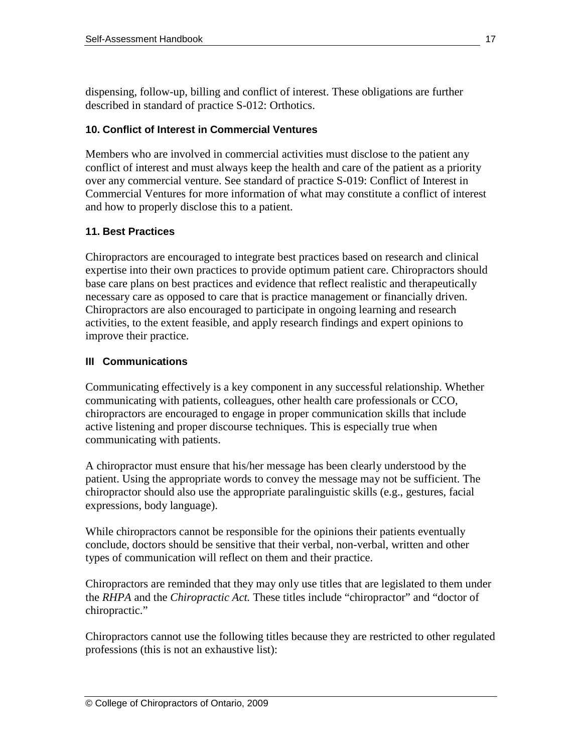dispensing, follow-up, billing and conflict of interest. These obligations are further described in standard of practice S-012: Orthotics.

# **10. Conflict of Interest in Commercial Ventures**

Members who are involved in commercial activities must disclose to the patient any conflict of interest and must always keep the health and care of the patient as a priority over any commercial venture. See standard of practice S-019: Conflict of Interest in Commercial Ventures for more information of what may constitute a conflict of interest and how to properly disclose this to a patient.

# **11. Best Practices**

Chiropractors are encouraged to integrate best practices based on research and clinical expertise into their own practices to provide optimum patient care. Chiropractors should base care plans on best practices and evidence that reflect realistic and therapeutically necessary care as opposed to care that is practice management or financially driven. Chiropractors are also encouraged to participate in ongoing learning and research activities, to the extent feasible, and apply research findings and expert opinions to improve their practice.

# **III Communications**

Communicating effectively is a key component in any successful relationship. Whether communicating with patients, colleagues, other health care professionals or CCO, chiropractors are encouraged to engage in proper communication skills that include active listening and proper discourse techniques. This is especially true when communicating with patients.

A chiropractor must ensure that his/her message has been clearly understood by the patient. Using the appropriate words to convey the message may not be sufficient. The chiropractor should also use the appropriate paralinguistic skills (e.g., gestures, facial expressions, body language).

While chiropractors cannot be responsible for the opinions their patients eventually conclude, doctors should be sensitive that their verbal, non-verbal, written and other types of communication will reflect on them and their practice.

Chiropractors are reminded that they may only use titles that are legislated to them under the *RHPA* and the *Chiropractic Act.* These titles include "chiropractor" and "doctor of chiropractic."

Chiropractors cannot use the following titles because they are restricted to other regulated professions (this is not an exhaustive list):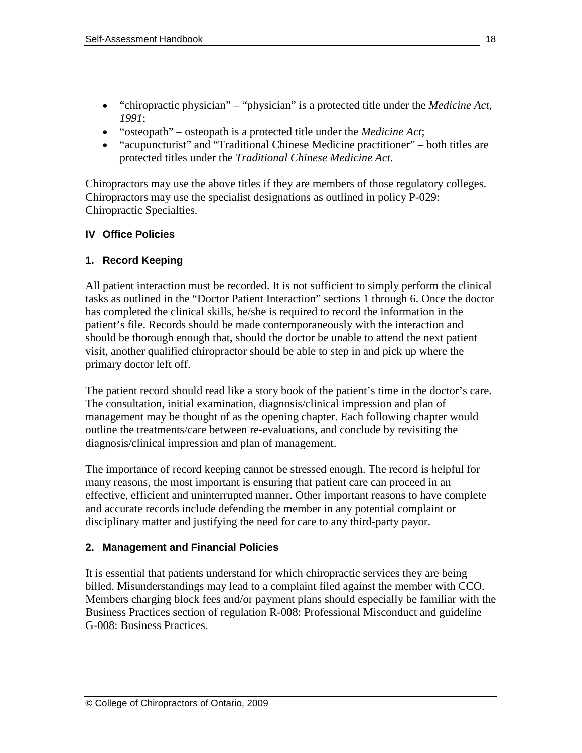- "chiropractic physician" "physician" is a protected title under the *Medicine Act, 1991*;
- "osteopath" osteopath is a protected title under the *Medicine Act*;
- "acupuncturist" and "Traditional Chinese Medicine practitioner" both titles are protected titles under the *Traditional Chinese Medicine Act*.

Chiropractors may use the above titles if they are members of those regulatory colleges. Chiropractors may use the specialist designations as outlined in policy P-029: Chiropractic Specialties.

#### **IV Office Policies**

#### **1. Record Keeping**

All patient interaction must be recorded. It is not sufficient to simply perform the clinical tasks as outlined in the "Doctor Patient Interaction" sections 1 through 6. Once the doctor has completed the clinical skills, he/she is required to record the information in the patient's file. Records should be made contemporaneously with the interaction and should be thorough enough that, should the doctor be unable to attend the next patient visit, another qualified chiropractor should be able to step in and pick up where the primary doctor left off.

The patient record should read like a story book of the patient's time in the doctor's care. The consultation, initial examination, diagnosis/clinical impression and plan of management may be thought of as the opening chapter. Each following chapter would outline the treatments/care between re-evaluations, and conclude by revisiting the diagnosis/clinical impression and plan of management.

The importance of record keeping cannot be stressed enough. The record is helpful for many reasons, the most important is ensuring that patient care can proceed in an effective, efficient and uninterrupted manner. Other important reasons to have complete and accurate records include defending the member in any potential complaint or disciplinary matter and justifying the need for care to any third-party payor.

#### **2. Management and Financial Policies**

It is essential that patients understand for which chiropractic services they are being billed. Misunderstandings may lead to a complaint filed against the member with CCO. Members charging block fees and/or payment plans should especially be familiar with the Business Practices section of regulation R-008: Professional Misconduct and guideline G-008: Business Practices.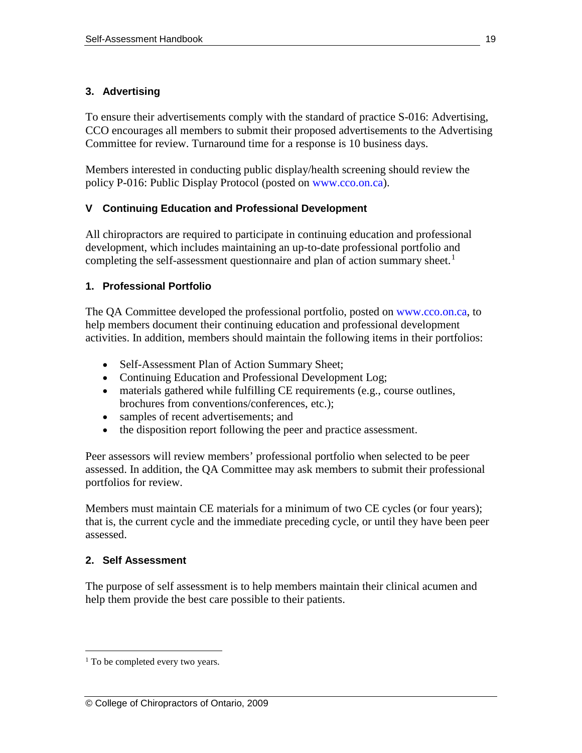# **3. Advertising**

To ensure their advertisements comply with the standard of practice S-016: Advertising, CCO encourages all members to submit their proposed advertisements to the Advertising Committee for review. Turnaround time for a response is 10 business days.

Members interested in conducting public display/health screening should review the policy P-016: Public Display Protocol (posted on [www.cco.on.ca\)](http://www.cco.on.ca/).

# **V Continuing Education and Professional Development**

All chiropractors are required to participate in continuing education and professional development, which includes maintaining an up-to-date professional portfolio and completing the self-assessment questionnaire and plan of action summary sheet.<sup>[1](#page-18-0)</sup>

# **1. Professional Portfolio**

The QA Committee developed the professional portfolio, posted on [www.cco.on.ca,](http://www.cco.on.ca/) to help members document their continuing education and professional development activities. In addition, members should maintain the following items in their portfolios:

- Self-Assessment Plan of Action Summary Sheet;
- Continuing Education and Professional Development Log;
- materials gathered while fulfilling CE requirements (e.g., course outlines, brochures from conventions/conferences, etc.);
- samples of recent advertisements; and
- the disposition report following the peer and practice assessment.

Peer assessors will review members' professional portfolio when selected to be peer assessed. In addition, the QA Committee may ask members to submit their professional portfolios for review.

Members must maintain CE materials for a minimum of two CE cycles (or four years); that is, the current cycle and the immediate preceding cycle, or until they have been peer assessed.

# **2. Self Assessment**

The purpose of self assessment is to help members maintain their clinical acumen and help them provide the best care possible to their patients.

<span id="page-18-0"></span><sup>&</sup>lt;sup>1</sup> To be completed every two years.  $\overline{a}$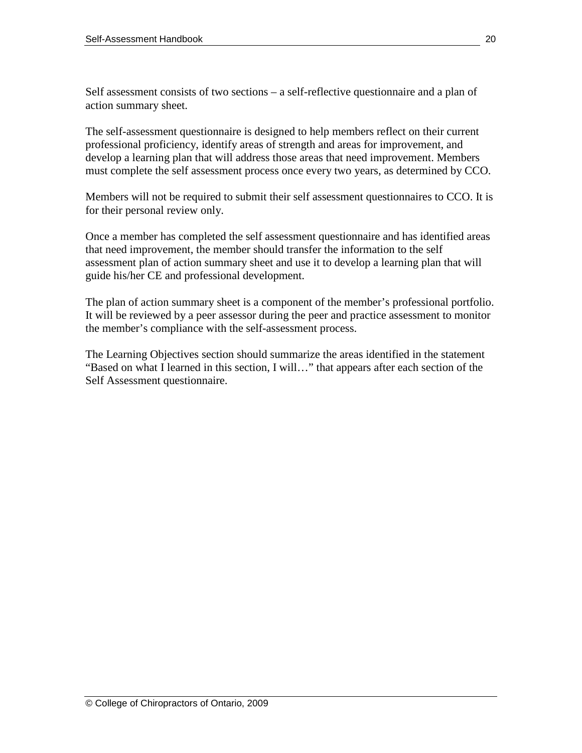Self assessment consists of two sections – a self-reflective questionnaire and a plan of action summary sheet.

The self-assessment questionnaire is designed to help members reflect on their current professional proficiency, identify areas of strength and areas for improvement, and develop a learning plan that will address those areas that need improvement. Members must complete the self assessment process once every two years, as determined by CCO.

Members will not be required to submit their self assessment questionnaires to CCO. It is for their personal review only.

Once a member has completed the self assessment questionnaire and has identified areas that need improvement, the member should transfer the information to the self assessment plan of action summary sheet and use it to develop a learning plan that will guide his/her CE and professional development.

The plan of action summary sheet is a component of the member's professional portfolio. It will be reviewed by a peer assessor during the peer and practice assessment to monitor the member's compliance with the self-assessment process.

The Learning Objectives section should summarize the areas identified in the statement "Based on what I learned in this section, I will…" that appears after each section of the Self Assessment questionnaire.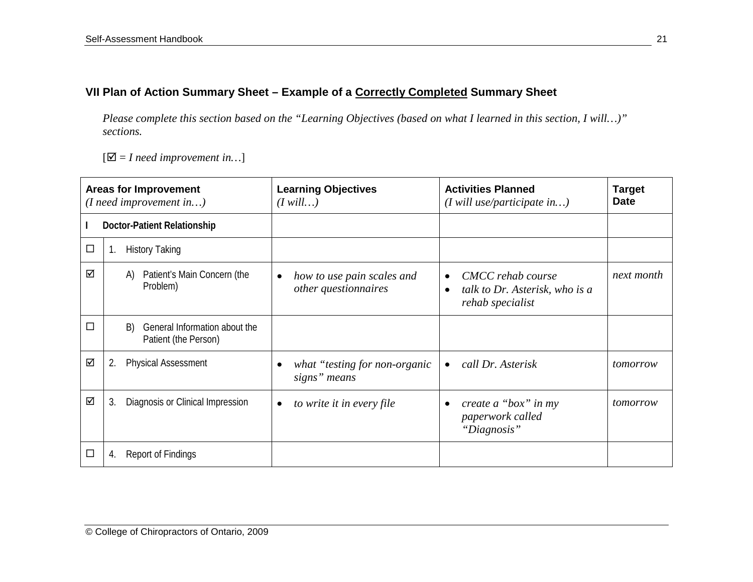# **VII Plan of Action Summary Sheet – Example of a Correctly Completed Summary Sheet**

*Please complete this section based on the "Learning Objectives (based on what I learned in this section, I will…)" sections.*

 $[\nabla] = I$  need improvement in...]

| <b>Areas for Improvement</b><br>$(I \nneed \nimprovement \nin)$ |    |                                                             | <b>Learning Objectives</b><br>$(I$ will)                        | <b>Activities Planned</b><br>$(I$ will use/participate in)                                        | <b>Target</b><br><b>Date</b> |
|-----------------------------------------------------------------|----|-------------------------------------------------------------|-----------------------------------------------------------------|---------------------------------------------------------------------------------------------------|------------------------------|
|                                                                 |    | Doctor-Patient Relationship                                 |                                                                 |                                                                                                   |                              |
| □                                                               | 1. | <b>History Taking</b>                                       |                                                                 |                                                                                                   |                              |
| ☑                                                               |    | Patient's Main Concern (the<br>A)<br>Problem)               | how to use pain scales and<br>$\bullet$<br>other questionnaires | CMCC rehab course<br>$\bullet$<br>talk to Dr. Asterisk, who is a<br>$\bullet$<br>rehab specialist | next month                   |
| П                                                               |    | General Information about the<br>B)<br>Patient (the Person) |                                                                 |                                                                                                   |                              |
| ☑                                                               | 2. | <b>Physical Assessment</b>                                  | what "testing for non-organic"<br>signs" means                  | call Dr. Asterisk<br>$\bullet$                                                                    | tomorrow                     |
| ☑                                                               | 3. | Diagnosis or Clinical Impression                            | to write it in every file<br>٠                                  | create a "box" in my<br>$\bullet$<br>paperwork called<br>"Diagnosis"                              | tomorrow                     |
| $\overline{\phantom{a}}$                                        | 4. | <b>Report of Findings</b>                                   |                                                                 |                                                                                                   |                              |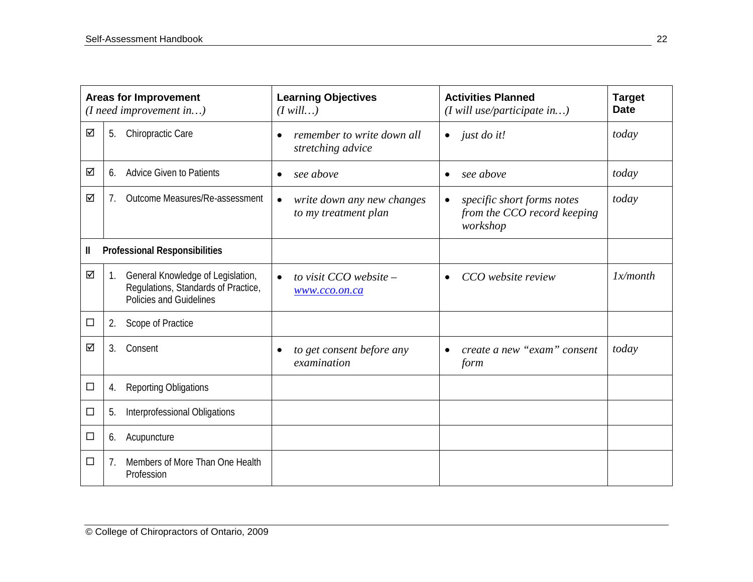| <b>Areas for Improvement</b><br>(I need improvement in) |    |                                                                                                     | <b>Learning Objectives</b><br>$(I$ will)                        | <b>Activities Planned</b><br>$(I$ will use/participate in)                         | <b>Target</b><br><b>Date</b> |
|---------------------------------------------------------|----|-----------------------------------------------------------------------------------------------------|-----------------------------------------------------------------|------------------------------------------------------------------------------------|------------------------------|
| ☑                                                       | 5. | Chiropractic Care                                                                                   | remember to write down all<br>stretching advice                 | just do it!<br>$\bullet$                                                           | today                        |
| ☑                                                       | 6. | <b>Advice Given to Patients</b>                                                                     | see above<br>$\bullet$                                          | see above<br>$\bullet$                                                             | today                        |
| ☑                                                       | 7. | Outcome Measures/Re-assessment                                                                      | write down any new changes<br>$\bullet$<br>to my treatment plan | specific short forms notes<br>$\bullet$<br>from the CCO record keeping<br>workshop | today                        |
| Ш                                                       |    | <b>Professional Responsibilities</b>                                                                |                                                                 |                                                                                    |                              |
| ☑                                                       | 1. | General Knowledge of Legislation,<br>Regulations, Standards of Practice,<br>Policies and Guidelines | to visit CCO website -<br>$\bullet$<br>www.cco.on.ca            | CCO website review<br>$\bullet$                                                    | 1x/month                     |
| $\Box$                                                  | 2. | Scope of Practice                                                                                   |                                                                 |                                                                                    |                              |
| ☑                                                       | 3. | Consent                                                                                             | to get consent before any<br>examination                        | create a new "exam" consent<br>$\bullet$<br>form                                   | today                        |
| $\Box$                                                  | 4. | <b>Reporting Obligations</b>                                                                        |                                                                 |                                                                                    |                              |
| $\Box$                                                  | 5. | Interprofessional Obligations                                                                       |                                                                 |                                                                                    |                              |
| $\Box$                                                  | 6. | Acupuncture                                                                                         |                                                                 |                                                                                    |                              |
| □                                                       | 7. | Members of More Than One Health<br>Profession                                                       |                                                                 |                                                                                    |                              |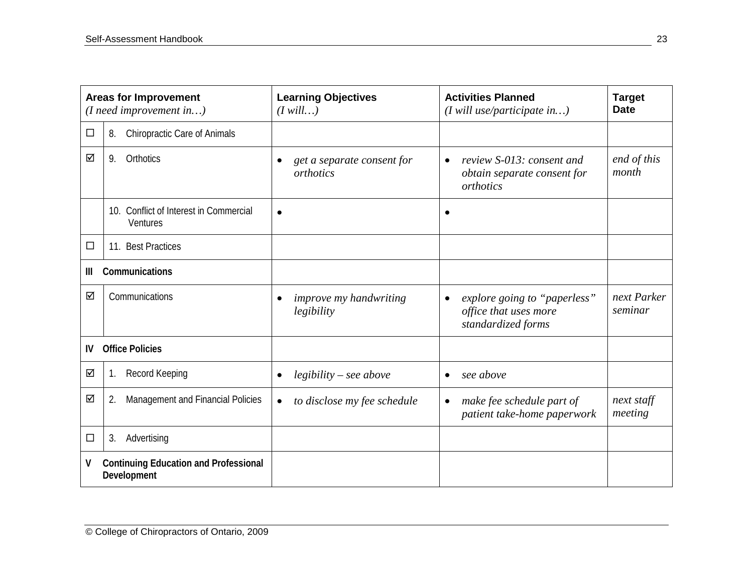| <b>Areas for Improvement</b><br>$(I \nneed \nimprovement \nin)$  |                                                    | <b>Learning Objectives</b><br>$(I$ will)                 | <b>Activities Planned</b><br>$(I$ will use/participate in)                               | <b>Target</b><br><b>Date</b> |
|------------------------------------------------------------------|----------------------------------------------------|----------------------------------------------------------|------------------------------------------------------------------------------------------|------------------------------|
| $\Box$                                                           | Chiropractic Care of Animals<br>8.                 |                                                          |                                                                                          |                              |
| ☑                                                                | Orthotics<br>9.                                    | get a separate consent for<br>$\bullet$<br>orthotics     | review S-013: consent and<br>$\bullet$<br>obtain separate consent for<br>orthotics       | end of this<br>month         |
|                                                                  | 10. Conflict of Interest in Commercial<br>Ventures | $\bullet$                                                | $\bullet$                                                                                |                              |
| $\Box$                                                           | <b>Best Practices</b><br>11.                       |                                                          |                                                                                          |                              |
| Ш                                                                | Communications                                     |                                                          |                                                                                          |                              |
| ☑                                                                | Communications                                     | <i>improve my handwriting</i><br>$\bullet$<br>legibility | explore going to "paperless"<br>$\bullet$<br>office that uses more<br>standardized forms | next Parker<br>seminar       |
| IV                                                               | <b>Office Policies</b>                             |                                                          |                                                                                          |                              |
| ☑                                                                | Record Keeping<br>1.                               | $legibility - see above$<br>$\bullet$                    | see above<br>$\bullet$                                                                   |                              |
| ☑                                                                | Management and Financial Policies<br>2.            | to disclose my fee schedule<br>$\bullet$                 | make fee schedule part of<br>$\bullet$<br>patient take-home paperwork                    | next staff<br>meeting        |
| $\Box$                                                           | 3.<br>Advertising                                  |                                                          |                                                                                          |                              |
| V<br><b>Continuing Education and Professional</b><br>Development |                                                    |                                                          |                                                                                          |                              |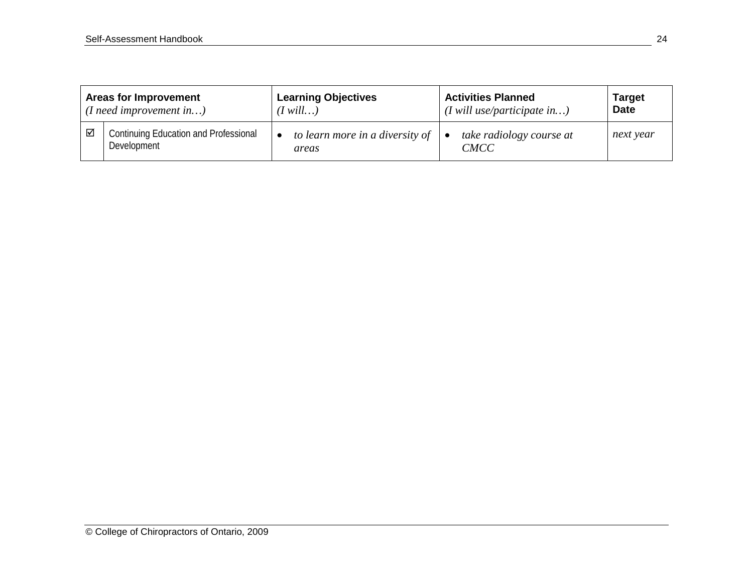| <b>Areas for Improvement</b>    |                                                             | <b>Learning Objectives</b>               | <b>Activities Planned</b>                    | <b>Target</b> |
|---------------------------------|-------------------------------------------------------------|------------------------------------------|----------------------------------------------|---------------|
| $(I \nneed \nimprovement \nin)$ |                                                             | $(I \text{ will} \dots)$                 | $(I$ will use/participate in)                | <b>Date</b>   |
| ☑                               | <b>Continuing Education and Professional</b><br>Development | to learn more in a diversity of<br>areas | take radiology course at<br>٠<br><b>CMCC</b> | next year     |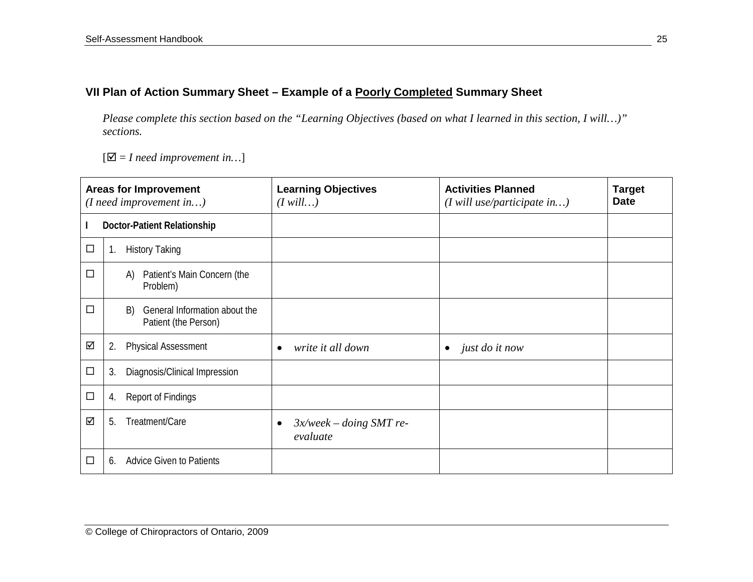# **VII Plan of Action Summary Sheet – Example of a Poorly Completed Summary Sheet**

*Please complete this section based on the "Learning Objectives (based on what I learned in this section, I will…)" sections.* 

 $[\nabla] = I$  need improvement in...]

| <b>Areas for Improvement</b><br>(I need improvement in) |    |                                                             | <b>Learning Objectives</b><br>$(I$ will)    | <b>Activities Planned</b><br>$(I$ will use/participate in) | <b>Target</b><br><b>Date</b> |
|---------------------------------------------------------|----|-------------------------------------------------------------|---------------------------------------------|------------------------------------------------------------|------------------------------|
|                                                         |    | Doctor-Patient Relationship                                 |                                             |                                                            |                              |
| $\Box$                                                  | 1. | <b>History Taking</b>                                       |                                             |                                                            |                              |
| $\Box$                                                  |    | Patient's Main Concern (the<br>A)<br>Problem)               |                                             |                                                            |                              |
| $\Box$                                                  |    | General Information about the<br>B)<br>Patient (the Person) |                                             |                                                            |                              |
| ☑                                                       | 2. | <b>Physical Assessment</b>                                  | write it all down<br>٠                      | just do it now<br>$\bullet$                                |                              |
| $\Box$                                                  | 3. | Diagnosis/Clinical Impression                               |                                             |                                                            |                              |
| $\Box$                                                  | 4. | <b>Report of Findings</b>                                   |                                             |                                                            |                              |
| ☑                                                       | 5. | Treatment/Care                                              | $3x$ /week – doing SMT re-<br>٠<br>evaluate |                                                            |                              |
| □                                                       | 6. | <b>Advice Given to Patients</b>                             |                                             |                                                            |                              |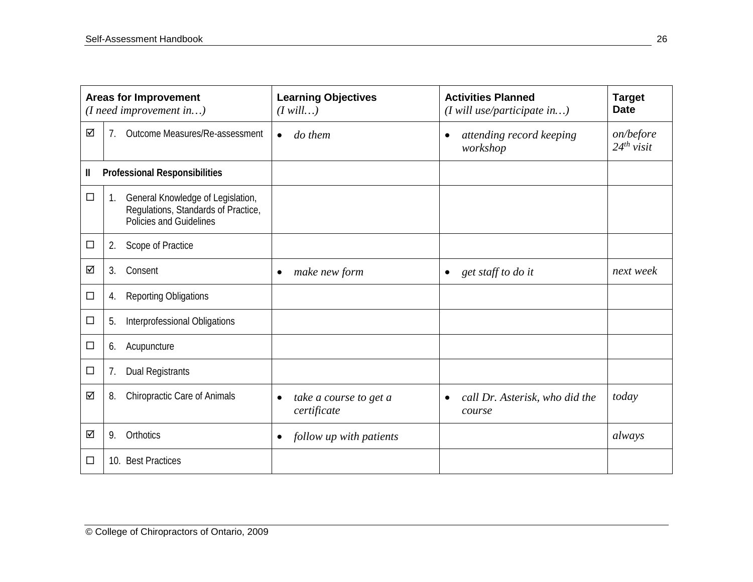| <b>Areas for Improvement</b><br>$(I \nneed \nimprovement \nin)$ |                                                                                                           | <b>Learning Objectives</b><br>$(I$ will)           | <b>Activities Planned</b><br>$(I$ will use/participate in) | <b>Target</b><br><b>Date</b> |
|-----------------------------------------------------------------|-----------------------------------------------------------------------------------------------------------|----------------------------------------------------|------------------------------------------------------------|------------------------------|
| ☑                                                               | Outcome Measures/Re-assessment<br>7.                                                                      | do them<br>$\bullet$                               | attending record keeping<br>$\bullet$<br>workshop          | on/before<br>$24^{th}$ visit |
| Ш                                                               | <b>Professional Responsibilities</b>                                                                      |                                                    |                                                            |                              |
| $\Box$                                                          | General Knowledge of Legislation,<br>1.<br>Regulations, Standards of Practice,<br>Policies and Guidelines |                                                    |                                                            |                              |
| $\Box$                                                          | 2.<br>Scope of Practice                                                                                   |                                                    |                                                            |                              |
| ☑                                                               | Consent<br>3.                                                                                             | make new form<br>$\bullet$                         | get staff to do it<br>$\bullet$                            | next week                    |
| $\Box$                                                          | <b>Reporting Obligations</b><br>4.                                                                        |                                                    |                                                            |                              |
| □                                                               | Interprofessional Obligations<br>5.                                                                       |                                                    |                                                            |                              |
| □                                                               | Acupuncture<br>6.                                                                                         |                                                    |                                                            |                              |
| $\Box$                                                          | <b>Dual Registrants</b><br>7.                                                                             |                                                    |                                                            |                              |
| ☑                                                               | Chiropractic Care of Animals<br>8.                                                                        | take a course to get a<br>$\bullet$<br>certificate | call Dr. Asterisk, who did the<br>$\bullet$<br>course      | today                        |
| ☑                                                               | Orthotics<br>9.                                                                                           | follow up with patients<br>$\bullet$               |                                                            | always                       |
| $\Box$                                                          | 10. Best Practices                                                                                        |                                                    |                                                            |                              |